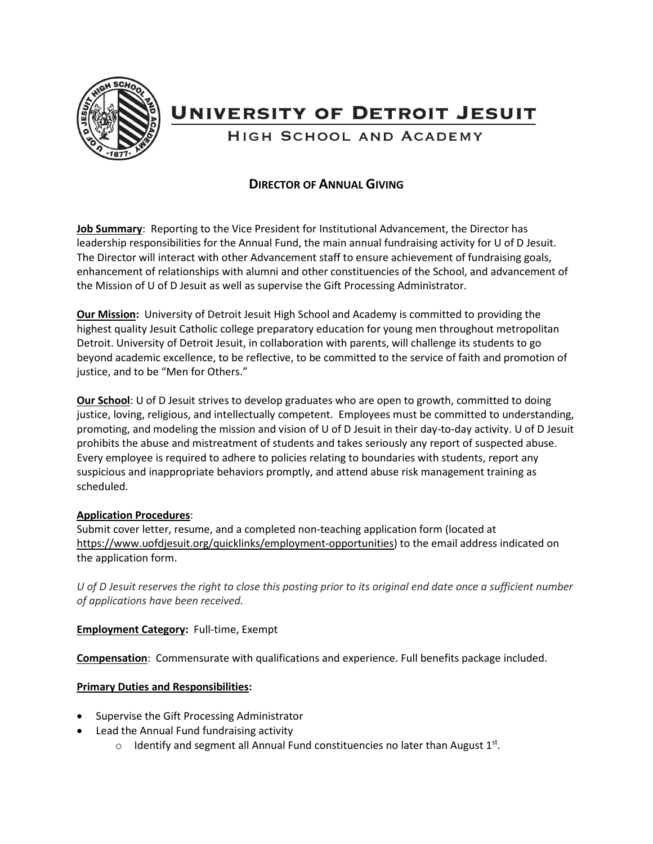

# **UNIVERSITY OF DETROIT JESUIT**

HIGH SCHOOL AND ACADEMY

# **DIRECTOR OF ANNUAL GIVING**

**Job Summary**: Reporting to the Vice President for Institutional Advancement, the Director has leadership responsibilities for the Annual Fund, the main annual fundraising activity for U of D Jesuit. The Director will interact with other Advancement staff to ensure achievement of fundraising goals, enhancement of relationships with alumni and other constituencies of the School, and advancement of the Mission of U of D Jesuit as well as supervise the Gift Processing Administrator.

**Our Mission:** University of Detroit Jesuit High School and Academy is committed to providing the highest quality Jesuit Catholic college preparatory education for young men throughout metropolitan Detroit. University of Detroit Jesuit, in collaboration with parents, will challenge its students to go beyond academic excellence, to be reflective, to be committed to the service of faith and promotion of justice, and to be "Men for Others."

**Our School**: U of D Jesuit strives to develop graduates who are open to growth, committed to doing justice, loving, religious, and intellectually competent. Employees must be committed to understanding, promoting, and modeling the mission and vision of U of D Jesuit in their day-to-day activity. U of D Jesuit prohibits the abuse and mistreatment of students and takes seriously any report of suspected abuse. Every employee is required to adhere to policies relating to boundaries with students, report any suspicious and inappropriate behaviors promptly, and attend abuse risk management training as scheduled.

### **Application Procedures**:

Submit cover letter, resume, and a completed non-teaching application form (located at [https://www.uofdjesuit.org/quicklinks/employment-opportunities\)](https://www.uofdjesuit.org/quicklinks/employment-opportunities) to the email address indicated on the application form.

*U of D Jesuit reserves the right to close this posting prior to its original end date once a sufficient number of applications have been received.*

**Employment Category:** Full-time, Exempt

**Compensation**: Commensurate with qualifications and experience. Full benefits package included.

# **Primary Duties and Responsibilities:**

- Supervise the Gift Processing Administrator
- Lead the Annual Fund fundraising activity
	- $\circ$  Identify and segment all Annual Fund constituencies no later than August 1st.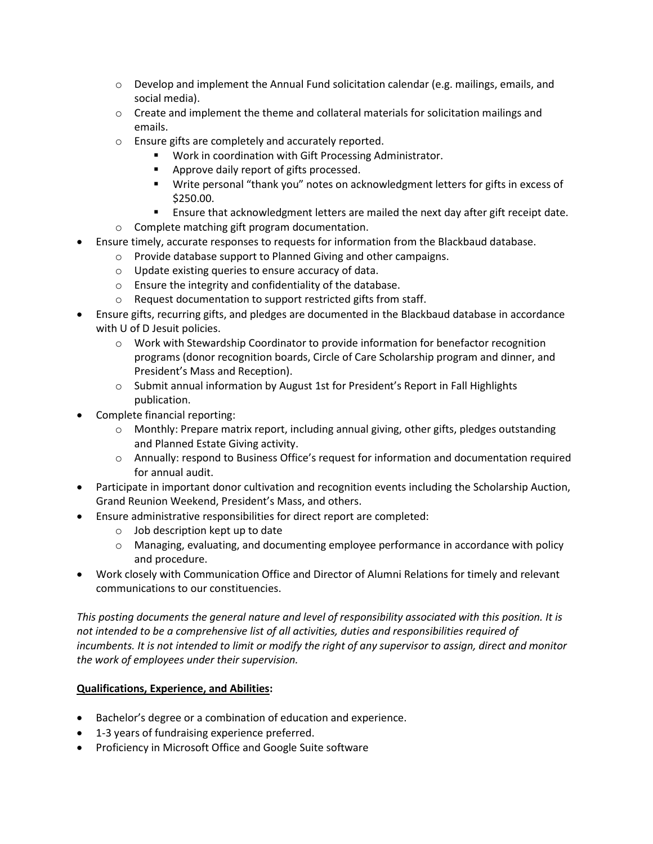- $\circ$  Develop and implement the Annual Fund solicitation calendar (e.g. mailings, emails, and social media).
- $\circ$  Create and implement the theme and collateral materials for solicitation mailings and emails.
- o Ensure gifts are completely and accurately reported.
	- Work in coordination with Gift Processing Administrator.
	- **Approve daily report of gifts processed.**
	- Write personal "thank you" notes on acknowledgment letters for gifts in excess of \$250.00.
- Ensure that acknowledgment letters are mailed the next day after gift receipt date. o Complete matching gift program documentation.
- 
- Ensure timely, accurate responses to requests for information from the Blackbaud database.
	- o Provide database support to Planned Giving and other campaigns.
		- o Update existing queries to ensure accuracy of data.
		- o Ensure the integrity and confidentiality of the database.
		- o Request documentation to support restricted gifts from staff.
- Ensure gifts, recurring gifts, and pledges are documented in the Blackbaud database in accordance with U of D Jesuit policies.
	- o Work with Stewardship Coordinator to provide information for benefactor recognition programs (donor recognition boards, Circle of Care Scholarship program and dinner, and President's Mass and Reception).
	- o Submit annual information by August 1st for President's Report in Fall Highlights publication.
- Complete financial reporting:
	- $\circ$  Monthly: Prepare matrix report, including annual giving, other gifts, pledges outstanding and Planned Estate Giving activity.
	- o Annually: respond to Business Office's request for information and documentation required for annual audit.
- Participate in important donor cultivation and recognition events including the Scholarship Auction, Grand Reunion Weekend, President's Mass, and others.
- Ensure administrative responsibilities for direct report are completed:
	- $\circ$  Job description kept up to date
	- o Managing, evaluating, and documenting employee performance in accordance with policy and procedure.
- Work closely with Communication Office and Director of Alumni Relations for timely and relevant communications to our constituencies.

*This posting documents the general nature and level of responsibility associated with this position. It is not intended to be a comprehensive list of all activities, duties and responsibilities required of incumbents. It is not intended to limit or modify the right of any supervisor to assign, direct and monitor the work of employees under their supervision.*

### **Qualifications, Experience, and Abilities:**

- Bachelor's degree or a combination of education and experience.
- 1-3 years of fundraising experience preferred.
- Proficiency in Microsoft Office and Google Suite software